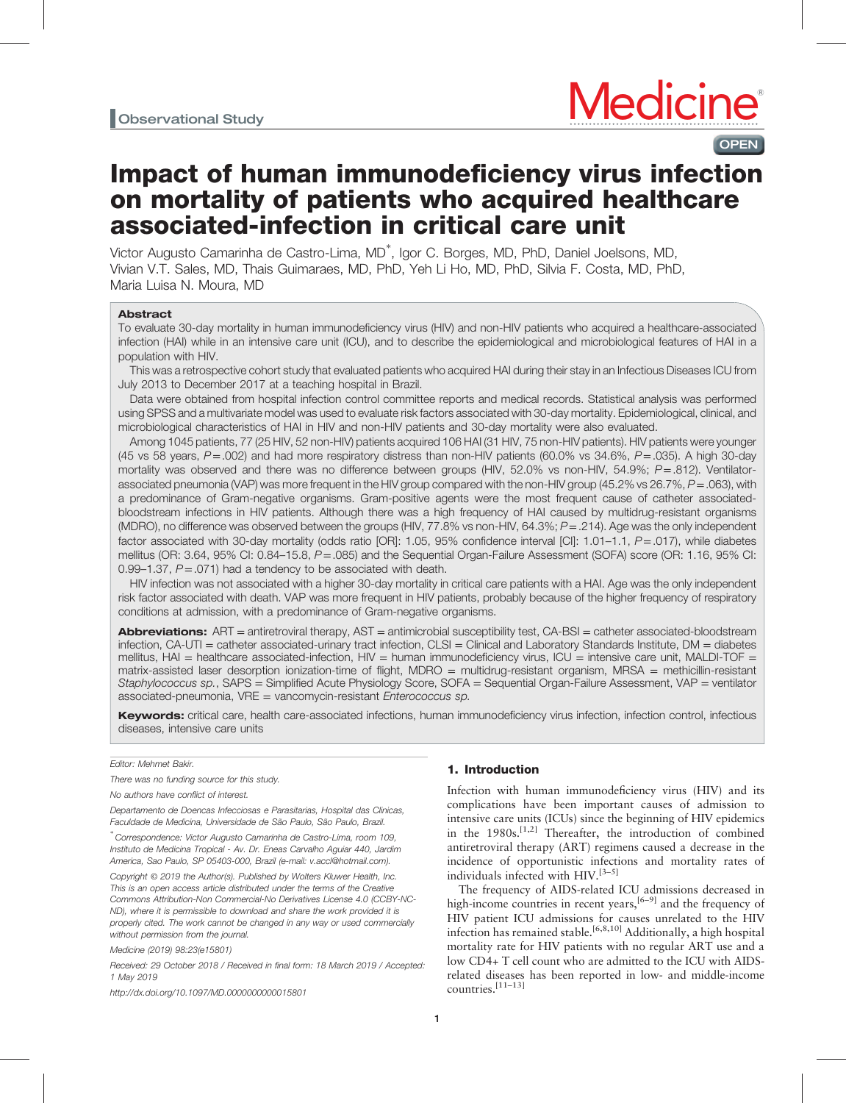# **OPEN**

# Impact of human immunodeficiency virus infection on mortality of patients who acquired healthcare associated-infection in critical care unit

Victor Augusto Camarinha de Castro-Lima, MD<sup>∗</sup> , Igor C. Borges, MD, PhD, Daniel Joelsons, MD, Vivian V.T. Sales, MD, Thais Guimaraes, MD, PhD, Yeh Li Ho, MD, PhD, Silvia F. Costa, MD, PhD, Maria Luisa N. Moura, MD

# Abstract

To evaluate 30-day mortality in human immunodeficiency virus (HIV) and non-HIV patients who acquired a healthcare-associated infection (HAI) while in an intensive care unit (ICU), and to describe the epidemiological and microbiological features of HAI in a population with HIV.

This was a retrospective cohort study that evaluated patients who acquired HAI during their stay in an Infectious Diseases ICU from July 2013 to December 2017 at a teaching hospital in Brazil.

Data were obtained from hospital infection control committee reports and medical records. Statistical analysis was performed using SPSS and a multivariate model was used to evaluate risk factors associated with 30-day mortality. Epidemiological, clinical, and microbiological characteristics of HAI in HIV and non-HIV patients and 30-day mortality were also evaluated.

Among 1045 patients, 77 (25 HIV, 52 non-HIV) patients acquired 106 HAI (31 HIV, 75 non-HIV patients). HIV patients were younger (45 vs 58 years,  $P = .002$ ) and had more respiratory distress than non-HIV patients (60.0% vs 34.6%,  $P = .035$ ). A high 30-day mortality was observed and there was no difference between groups (HIV, 52.0% vs non-HIV, 54.9%; P=.812). Ventilatorassociated pneumonia (VAP) was more frequent in the HIV group compared with the non-HIV group (45.2% vs 26.7%,  $P = .063$ ), with a predominance of Gram-negative organisms. Gram-positive agents were the most frequent cause of catheter associatedbloodstream infections in HIV patients. Although there was a high frequency of HAI caused by multidrug-resistant organisms (MDRO), no difference was observed between the groups (HIV,  $77.8\%$  vs non-HIV,  $64.3\%$ ;  $P = .214$ ). Age was the only independent factor associated with 30-day mortality (odds ratio [OR]: 1.05, 95% confidence interval [CI]: 1.01–1.1, P=.017), while diabetes mellitus (OR: 3.64, 95% CI: 0.84–15.8, P=.085) and the Sequential Organ-Failure Assessment (SOFA) score (OR: 1.16, 95% CI: 0.99–1.37,  $P = .071$ ) had a tendency to be associated with death.

HIV infection was not associated with a higher 30-day mortality in critical care patients with a HAI. Age was the only independent risk factor associated with death. VAP was more frequent in HIV patients, probably because of the higher frequency of respiratory conditions at admission, with a predominance of Gram-negative organisms.

Abbreviations: ART = antiretroviral therapy, AST = antimicrobial susceptibility test, CA-BSI = catheter associated-bloodstream infection, CA-UTI = catheter associated-urinary tract infection, CLSI = Clinical and Laboratory Standards Institute, DM = diabetes mellitus, HAI = healthcare associated-infection, HIV = human immunodeficiency virus, ICU = intensive care unit, MALDI-TOF = matrix-assisted laser desorption ionization-time of flight, MDRO = multidrug-resistant organism, MRSA = methicillin-resistant Staphylococcus sp., SAPS = Simplified Acute Physiology Score, SOFA = Sequential Organ-Failure Assessment, VAP = ventilator associated-pneumonia, VRE = vancomycin-resistant Enterococcus sp.

Keywords: critical care, health care-associated infections, human immunodeficiency virus infection, infection control, infectious diseases, intensive care units

#### Editor: Mehmet Bakir.

There was no funding source for this study.

No authors have conflict of interest.

Departamento de Doencas Infecciosas e Parasitarias, Hospital das Clinicas, Faculdade de Medicina, Universidade de São Paulo, São Paulo, Brazil.

∗ Correspondence: Victor Augusto Camarinha de Castro-Lima, room 109, Instituto de Medicina Tropical - Av. Dr. Eneas Carvalho Aguiar 440, Jardim America, Sao Paulo, SP 05403-000, Brazil (e-mail: [v.accl@hotmail.com](mailto:v.accl@hotmail.com)).

Copyright © 2019 the Author(s). Published by Wolters Kluwer Health, Inc. This is an open access article distributed under the terms of the [Creative](http://creativecommons.org/licenses/by-nc-nd/4.0) [Commons Attribution-Non Commercial-No Derivatives License 4.0](http://creativecommons.org/licenses/by-nc-nd/4.0) (CCBY-NC-ND), where it is permissible to download and share the work provided it is properly cited. The work cannot be changed in any way or used commercially without permission from the journal.

Medicine (2019) 98:23(e15801)

Received: 29 October 2018 / Received in final form: 18 March 2019 / Accepted: 1 May 2019

<http://dx.doi.org/10.1097/MD.0000000000015801>

# 1. Introduction

Infection with human immunodeficiency virus (HIV) and its complications have been important causes of admission to intensive care units (ICUs) since the beginning of HIV epidemics in the  $1980s$ .<sup>[1,2]</sup> Thereafter, the introduction of combined antiretroviral therapy (ART) regimens caused a decrease in the incidence of opportunistic infections and mortality rates of individuals infected with HIV.[3–5]

The frequency of AIDS-related ICU admissions decreased in high-income countries in recent years, $[6-9]$  and the frequency of HIV patient ICU admissions for causes unrelated to the HIV infection has remained stable.<sup>[6,8,10]</sup> Additionally, a high hospital mortality rate for HIV patients with no regular ART use and a low CD4+ T cell count who are admitted to the ICU with AIDSrelated diseases has been reported in low- and middle-income countries.[11–13]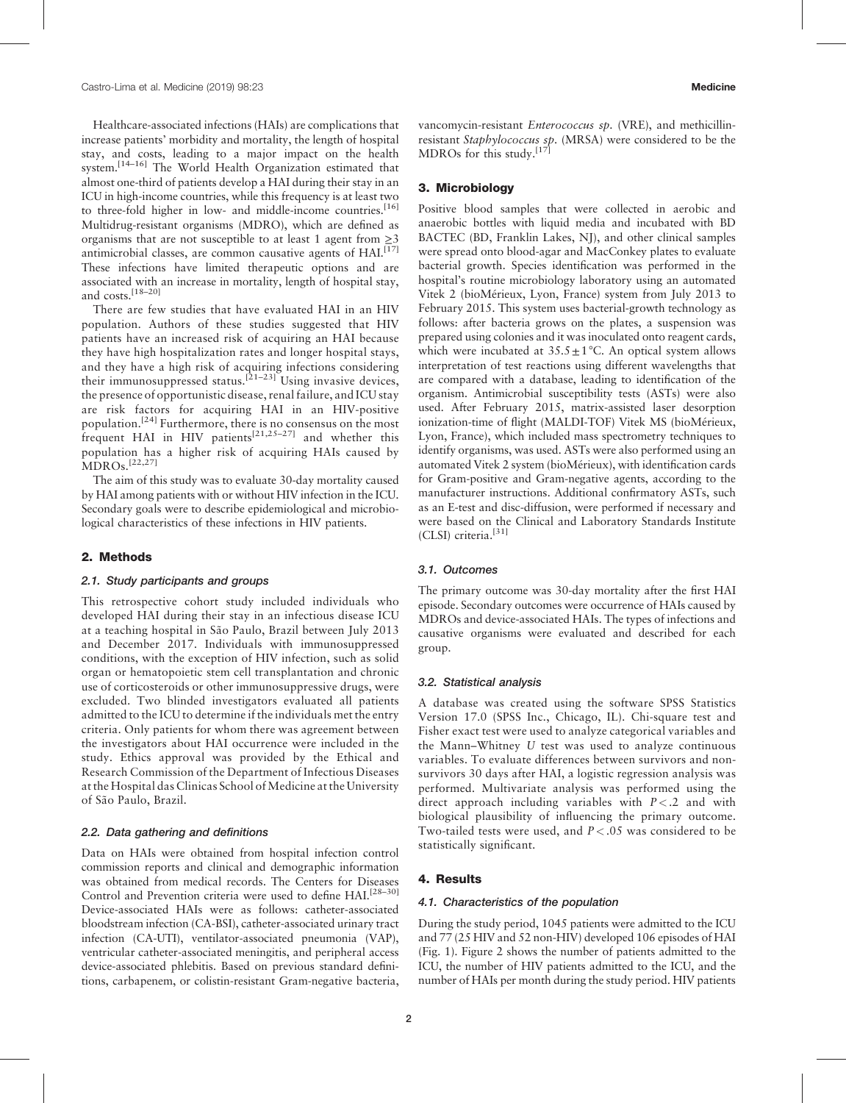Healthcare-associated infections (HAIs) are complications that increase patients' morbidity and mortality, the length of hospital stay, and costs, leading to a major impact on the health system.<sup>[14-16]</sup> The World Health Organization estimated that almost one-third of patients develop a HAI during their stay in an ICU in high-income countries, while this frequency is at least two to three-fold higher in low- and middle-income countries.<sup>[\[16\]](#page-7-0)</sup> Multidrug-resistant organisms (MDRO), which are defined as organisms that are not susceptible to at least 1 agent from  $\geq$ 3 antimicrobial classes, are common causative agents of HAI.<sup>[\[17\]](#page-7-0)</sup> These infections have limited therapeutic options and are associated with an increase in mortality, length of hospital stay, and costs.[18–20]

There are few studies that have evaluated HAI in an HIV population. Authors of these studies suggested that HIV patients have an increased risk of acquiring an HAI because they have high hospitalization rates and longer hospital stays, and they have a high risk of acquiring infections considering their immunosuppressed status.<sup>[21–23]</sup> Using invasive devices, the presence of opportunistic disease, renal failure, and ICU stay are risk factors for acquiring HAI in an HIV-positive population.[\[24\]](#page-7-0) Furthermore, there is no consensus on the most frequent HAI in HIV patients<sup>[21,25–27]</sup> and whether this population has a higher risk of acquiring HAIs caused by MDROs.[22,27]

The aim of this study was to evaluate 30-day mortality caused by HAI among patients with or without HIV infection in the ICU. Secondary goals were to describe epidemiological and microbiological characteristics of these infections in HIV patients.

# 2. Methods

# 2.1. Study participants and groups

This retrospective cohort study included individuals who developed HAI during their stay in an infectious disease ICU at a teaching hospital in São Paulo, Brazil between July 2013 and December 2017. Individuals with immunosuppressed conditions, with the exception of HIV infection, such as solid organ or hematopoietic stem cell transplantation and chronic use of corticosteroids or other immunosuppressive drugs, were excluded. Two blinded investigators evaluated all patients admitted to the ICU to determine if the individuals met the entry criteria. Only patients for whom there was agreement between the investigators about HAI occurrence were included in the study. Ethics approval was provided by the Ethical and Research Commission of the Department of Infectious Diseases at the Hospital das Clinicas School of Medicine at the University of São Paulo, Brazil.

# 2.2. Data gathering and definitions

Data on HAIs were obtained from hospital infection control commission reports and clinical and demographic information was obtained from medical records. The Centers for Diseases Control and Prevention criteria were used to define HAI.<sup>[28–30]</sup> Device-associated HAIs were as follows: catheter-associated bloodstream infection (CA-BSI), catheter-associated urinary tract infection (CA-UTI), ventilator-associated pneumonia (VAP), ventricular catheter-associated meningitis, and peripheral access device-associated phlebitis. Based on previous standard definitions, carbapenem, or colistin-resistant Gram-negative bacteria,

vancomycin-resistant Enterococcus sp. (VRE), and methicillinresistant Staphylococcus sp. (MRSA) were considered to be the MDROs for this study.<sup>[\[17\]](#page-7-0)</sup>

# 3. Microbiology

Positive blood samples that were collected in aerobic and anaerobic bottles with liquid media and incubated with BD BACTEC (BD, Franklin Lakes, NJ), and other clinical samples were spread onto blood-agar and MacConkey plates to evaluate bacterial growth. Species identification was performed in the hospital's routine microbiology laboratory using an automated Vitek 2 (bioMérieux, Lyon, France) system from July 2013 to February 2015. This system uses bacterial-growth technology as follows: after bacteria grows on the plates, a suspension was prepared using colonies and it was inoculated onto reagent cards, which were incubated at  $35.5 \pm 1$  °C. An optical system allows interpretation of test reactions using different wavelengths that are compared with a database, leading to identification of the organism. Antimicrobial susceptibility tests (ASTs) were also used. After February 2015, matrix-assisted laser desorption ionization-time of flight (MALDI-TOF) Vitek MS (bioMérieux, Lyon, France), which included mass spectrometry techniques to identify organisms, was used. ASTs were also performed using an automated Vitek 2 system (bioMérieux), with identification cards for Gram-positive and Gram-negative agents, according to the manufacturer instructions. Additional confirmatory ASTs, such as an E-test and disc-diffusion, were performed if necessary and were based on the Clinical and Laboratory Standards Institute (CLSI) criteria.<sup>[\[31\]](#page-7-0)</sup>

# 3.1. Outcomes

The primary outcome was 30-day mortality after the first HAI episode. Secondary outcomes were occurrence of HAIs caused by MDROs and device-associated HAIs. The types of infections and causative organisms were evaluated and described for each group.

#### 3.2. Statistical analysis

A database was created using the software SPSS Statistics Version 17.0 (SPSS Inc., Chicago, IL). Chi-square test and Fisher exact test were used to analyze categorical variables and the Mann–Whitney U test was used to analyze continuous variables. To evaluate differences between survivors and nonsurvivors 30 days after HAI, a logistic regression analysis was performed. Multivariate analysis was performed using the direct approach including variables with  $P < 0.2$  and with biological plausibility of influencing the primary outcome. Two-tailed tests were used, and  $P < .05$  was considered to be statistically significant.

#### 4. Results

# 4.1. Characteristics of the population

During the study period, 1045 patients were admitted to the ICU and 77 (25 HIV and 52 non-HIV) developed 106 episodes of HAI ([Fig. 1\)](#page-2-0). [Figure 2](#page-2-0) shows the number of patients admitted to the ICU, the number of HIV patients admitted to the ICU, and the number of HAIs per month during the study period. HIV patients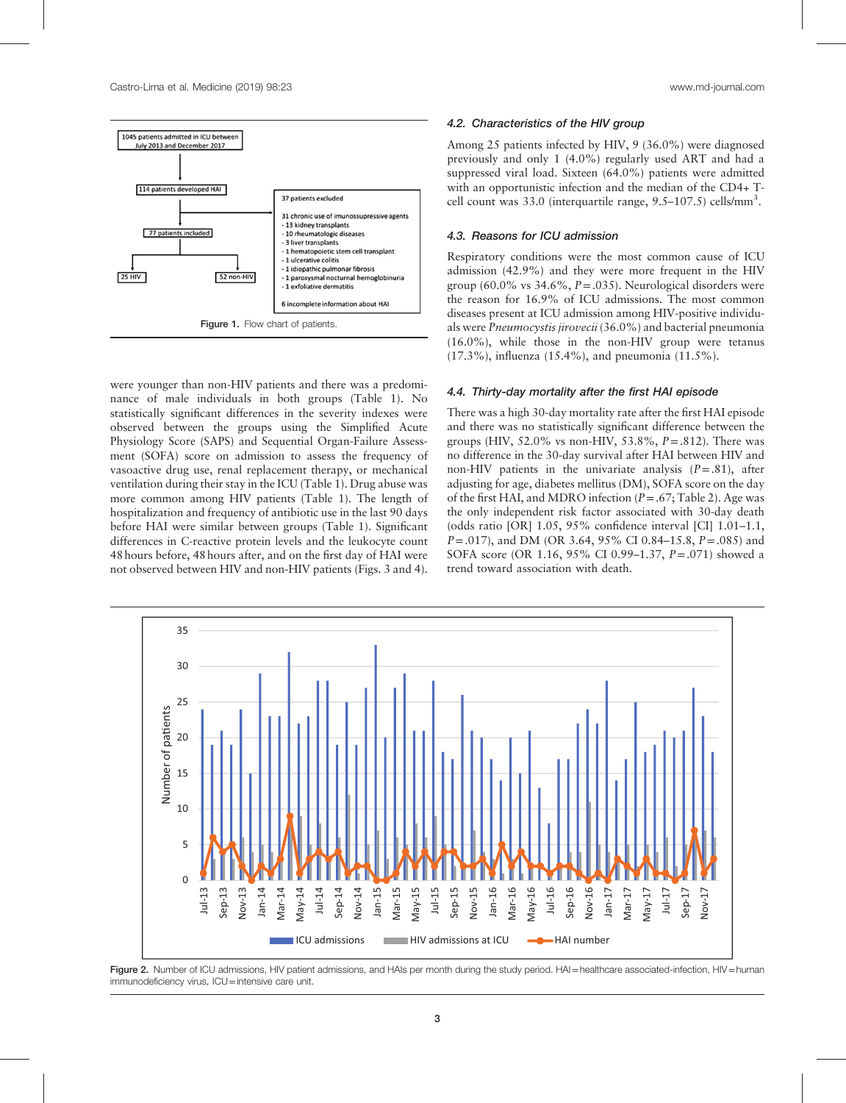<span id="page-2-0"></span>

were younger than non-HIV patients and there was a predominance of male individuals in both groups [\(Table 1](#page-3-0)). No statistically significant differences in the severity indexes were observed between the groups using the Simplified Acute Physiology Score (SAPS) and Sequential Organ-Failure Assessment (SOFA) score on admission to assess the frequency of vasoactive drug use, renal replacement therapy, or mechanical ventilation during their stay in the ICU ([Table 1\)](#page-3-0). Drug abuse was more common among HIV patients [\(Table 1\)](#page-3-0). The length of hospitalization and frequency of antibiotic use in the last 90 days before HAI were similar between groups [\(Table 1](#page-3-0)). Significant differences in C-reactive protein levels and the leukocyte count 48 hours before, 48 hours after, and on the first day of HAI were not observed between HIV and non-HIV patients (Figs. 3 and 4).

# 4.2. Characteristics of the HIV group

Among 25 patients infected by HIV, 9 (36.0%) were diagnosed previously and only 1 (4.0%) regularly used ART and had a suppressed viral load. Sixteen (64.0%) patients were admitted with an opportunistic infection and the median of the CD4+ Tcell count was 33.0 (interquartile range, 9.5-107.5) cells/mm<sup>3</sup>.

# 4.3. Reasons for ICU admission

Respiratory conditions were the most common cause of ICU admission (42.9%) and they were more frequent in the HIV group (60.0% vs  $34.6\%$ ,  $P = .035$ ). Neurological disorders were the reason for 16.9% of ICU admissions. The most common diseases present at ICU admission among HIV-positive individuals were Pneumocystis jirovecii (36.0%) and bacterial pneumonia (16.0%), while those in the non-HIV group were tetanus (17.3%), influenza (15.4%), and pneumonia (11.5%).

#### 4.4. Thirty-day mortality after the first HAI episode

There was a high 30-day mortality rate after the first HAI episode and there was no statistically significant difference between the groups (HIV,  $52.0\%$  vs non-HIV,  $53.8\%$ ,  $P=.812$ ). There was no difference in the 30-day survival after HAI between HIV and non-HIV patients in the univariate analysis  $(P=.81)$ , after adjusting for age, diabetes mellitus (DM), SOFA score on the day of the first HAI, and MDRO infection  $(P = .67;$  [Table 2](#page-4-0)). Age was the only independent risk factor associated with 30-day death (odds ratio [OR] 1.05, 95% confidence interval [CI] 1.01–1.1,  $P = .017$ ), and DM (OR 3.64, 95% CI 0.84–15.8,  $P = .085$ ) and SOFA score (OR 1.16, 95% CI 0.99–1.37, P=.071) showed a trend toward association with death.



Figure 2. Number of ICU admissions, HIV patient admissions, and HAIs per month during the study period. HAI=healthcare associated-infection, HIV=human immunodeficiency virus, ICU=intensive care unit.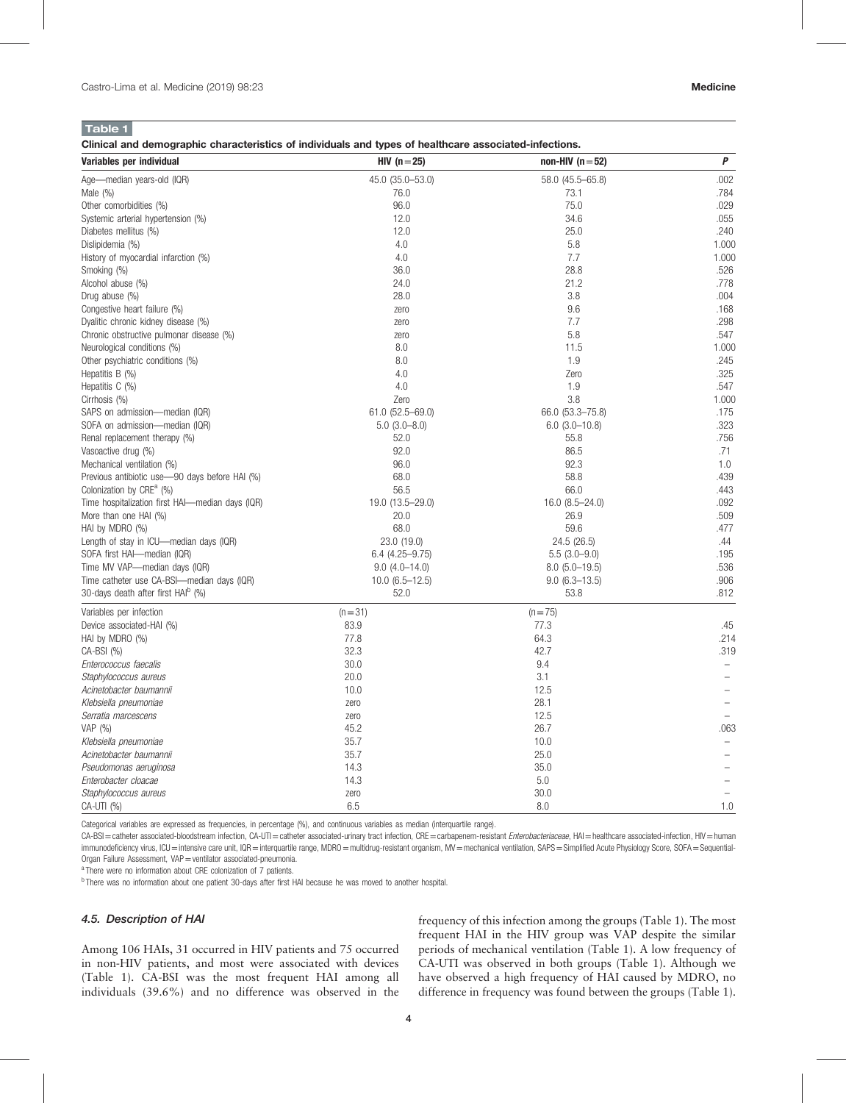<span id="page-3-0"></span>

Clinical and demographic characteristics of individuals and types of healthcare associated-infections.

| Variables per individual                         | HIV $(n=25)$           | non-HIV $(n=52)$    | $\pmb{P}$ |
|--------------------------------------------------|------------------------|---------------------|-----------|
| Age-median years-old (IQR)                       | 45.0 (35.0-53.0)       | 58.0 (45.5-65.8)    | .002      |
| Male $(\%)$                                      | 76.0                   | 73.1                | .784      |
| Other comorbidities (%)                          | 96.0                   | 75.0                | .029      |
| Systemic arterial hypertension (%)               | 12.0                   | 34.6                | .055      |
| Diabetes mellitus (%)                            | 12.0                   | 25.0                | .240      |
| Dislipidemia (%)                                 | 4.0                    | 5.8                 | 1.000     |
| History of myocardial infarction (%)             | 4.0                    | 7.7                 | 1.000     |
| Smoking (%)                                      | 36.0                   | 28.8                | .526      |
| Alcohol abuse (%)                                | 24.0                   | 21.2                | .778      |
| Drug abuse (%)                                   | 28.0                   | 3.8                 | .004      |
| Congestive heart failure (%)                     | zero                   | 9.6                 | .168      |
| Dyalitic chronic kidney disease (%)              | zero                   | 7.7                 | .298      |
| Chronic obstructive pulmonar disease (%)         | zero                   | 5.8                 | .547      |
| Neurological conditions (%)                      | 8.0                    | 11.5                | 1.000     |
| Other psychiatric conditions (%)                 | 8.0                    | 1.9                 | .245      |
| Hepatitis $B(\%)$                                | 4.0                    | Zero                | .325      |
| Hepatitis C (%)                                  | 4.0                    | 1.9                 | .547      |
| Cirrhosis (%)                                    | Zero                   | 3.8                 | 1.000     |
| SAPS on admission-median (IQR)                   | $61.0$ $(52.5 - 69.0)$ | 66.0 (53.3-75.8)    | .175      |
| SOFA on admission-median (IQR)                   | $5.0(3.0-8.0)$         | $6.0$ (3.0-10.8)    | .323      |
| Renal replacement therapy (%)                    | 52.0                   | 55.8                | .756      |
| Vasoactive drug (%)                              | 92.0                   | 86.5                | .71       |
| Mechanical ventilation (%)                       | 96.0                   | 92.3                | 1.0       |
| Previous antibiotic use-90 days before HAI (%)   | 68.0                   | 58.8                | .439      |
| Colonization by CRE <sup>a</sup> (%)             | 56.5                   | 66.0                | .443      |
| Time hospitalization first HAI-median days (IQR) | 19.0 (13.5-29.0)       | $16.0 (8.5 - 24.0)$ | .092      |
| More than one HAI (%)                            | 20.0                   | 26.9                | .509      |
| HAI by MDRO (%)                                  | 68.0                   | 59.6                | .477      |
| Length of stay in ICU—median days (IQR)          | 23.0 (19.0)            | 24.5 (26.5)         | .44       |
| SOFA first HAI-median (IQR)                      | $6.4(4.25 - 9.75)$     | $5.5(3.0-9.0)$      | .195      |
| Time MV VAP-median days (IQR)                    | $9.0(4.0 - 14.0)$      | $8.0(5.0-19.5)$     | .536      |
| Time catheter use CA-BSI-median days (IQR)       | $10.0$ (6.5-12.5)      | $9.0(6.3-13.5)$     | .906      |
| 30-days death after first HAI <sup>b</sup> (%)   | 52.0                   | 53.8                | .812      |
| Variables per infection                          | $(n=31)$               | $(n=75)$            |           |
| Device associated-HAI (%)                        | 83.9                   | 77.3                | .45       |
| HAI by MDRO (%)                                  | 77.8                   | 64.3                | .214      |
| CA-BSI (%)                                       | 32.3                   | 42.7                | .319      |
| Enterococcus faecalis                            | 30.0                   | 9.4                 |           |
| Staphylococcus aureus                            | 20.0                   | 3.1                 |           |
| Acinetobacter baumannii                          | 10.0                   | 12.5                |           |
| Klebsiella pneumoniae                            | zero                   | 28.1                |           |
| Serratia marcescens                              | zero                   | 12.5                |           |
| VAP (%)                                          | 45.2                   | 26.7                | .063      |
| Klebsiella pneumoniae                            | 35.7                   | 10.0                |           |
| Acinetobacter baumannii                          | 35.7                   | 25.0                |           |
| Pseudomonas aeruginosa                           | 14.3                   | 35.0                |           |
| Enterobacter cloacae                             | 14.3                   | 5.0                 |           |
| Staphylococcus aureus                            | zero                   | 30.0                |           |
| CA-UTI (%)                                       | 6.5                    | 8.0                 | 1.0       |

Categorical variables are expressed as frequencies, in percentage (%), and continuous variables as median (interquartile range).

CA-BSI = catheter associated-bloodstream infection, CA-UTI = catheter associated-urinary tract infection, CRE = carbapenem-resistant Enterobacteriaceae, HAI = healthcare associated-infection, HIV = human immunodeficiency virus, ICU=intensive care unit, IQR=interquartile range, MDRO=multidrug-resistant organism, MV=mechanical ventilation, SAPS=Simplified Acute Physiology Score, SOFA=Sequential-Organ Failure Assessment, VAP = ventilator associated-pneumonia.

<sup>a</sup> There were no information about CRE colonization of 7 patients.

<sup>b</sup> There was no information about one patient 30-days after first HAI because he was moved to another hospital.

### 4.5. Description of HAI

Among 106 HAIs, 31 occurred in HIV patients and 75 occurred in non-HIV patients, and most were associated with devices (Table 1). CA-BSI was the most frequent HAI among all individuals (39.6%) and no difference was observed in the frequency of this infection among the groups (Table 1). The most frequent HAI in the HIV group was VAP despite the similar periods of mechanical ventilation (Table 1). A low frequency of CA-UTI was observed in both groups (Table 1). Although we have observed a high frequency of HAI caused by MDRO, no difference in frequency was found between the groups (Table 1).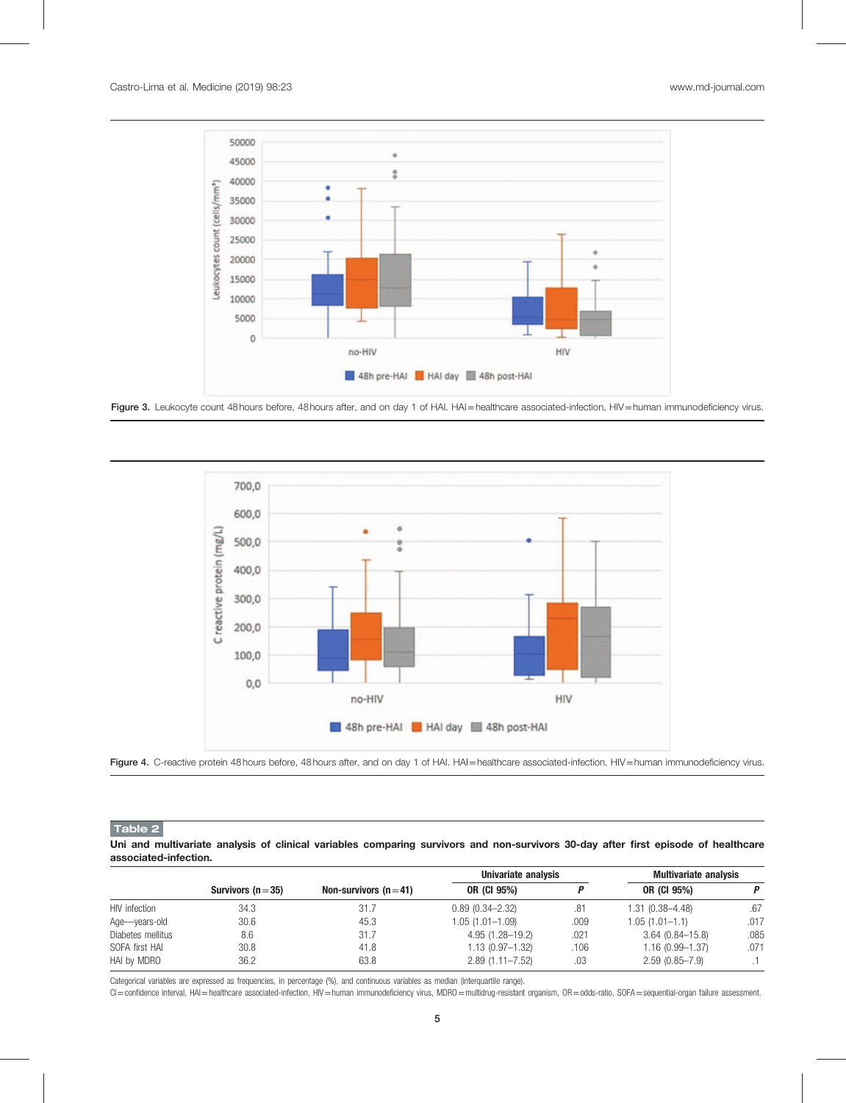<span id="page-4-0"></span>

Figure 3. Leukocyte count 48 hours before, 48 hours after, and on day 1 of HAI. HAI=healthcare associated-infection, HIV=human immunodeficiency virus.



Figure 4. C-reactive protein 48 hours before, 48 hours after, and on day 1 of HAI. HAI=healthcare associated-infection, HIV=human immunodeficiency virus.

Table 2

Uni and multivariate analysis of clinical variables comparing survivors and non-survivors 30-day after first episode of healthcare associated-infection.

|                   |                    |                        | Univariate analysis |      | <b>Multivariate analysis</b> |      |
|-------------------|--------------------|------------------------|---------------------|------|------------------------------|------|
|                   | Survivors $(n=35)$ | Non-survivors $(n=41)$ | OR (CI 95%)         |      | OR (CI 95%)                  | P    |
| HIV infection     | 34.3               | 31.7                   | $0.89(0.34 - 2.32)$ | .81  | $1.31(0.38 - 4.48)$          | .67  |
| Age-vears-old     | 30.6               | 45.3                   | $1.05(1.01 - 1.09)$ | .009 | $1.05(1.01-1.1)$             | .017 |
| Diabetes mellitus | 8.6                | 31.7                   | $4.95(1.28 - 19.2)$ | .021 | $3.64(0.84 - 15.8)$          | .085 |
| SOFA first HAI    | 30.8               | 41.8                   | $1.13(0.97 - 1.32)$ | .106 | $1.16(0.99 - 1.37)$          | .071 |
| HAI by MDRO       | 36.2               | 63.8                   | $2.89(1.11 - 7.52)$ | .03  | $2.59(0.85 - 7.9)$           |      |

Categorical variables are expressed as frequencies, in percentage (%), and continuous variables as median (interquartile range).

CI=confidence interval, HAI=healthcare associated-infection, HIV=human immunodeficiency virus, MDRO=multidrug-resistant organism, OR=odds-ratio, SOFA=sequential-organ failure assessment.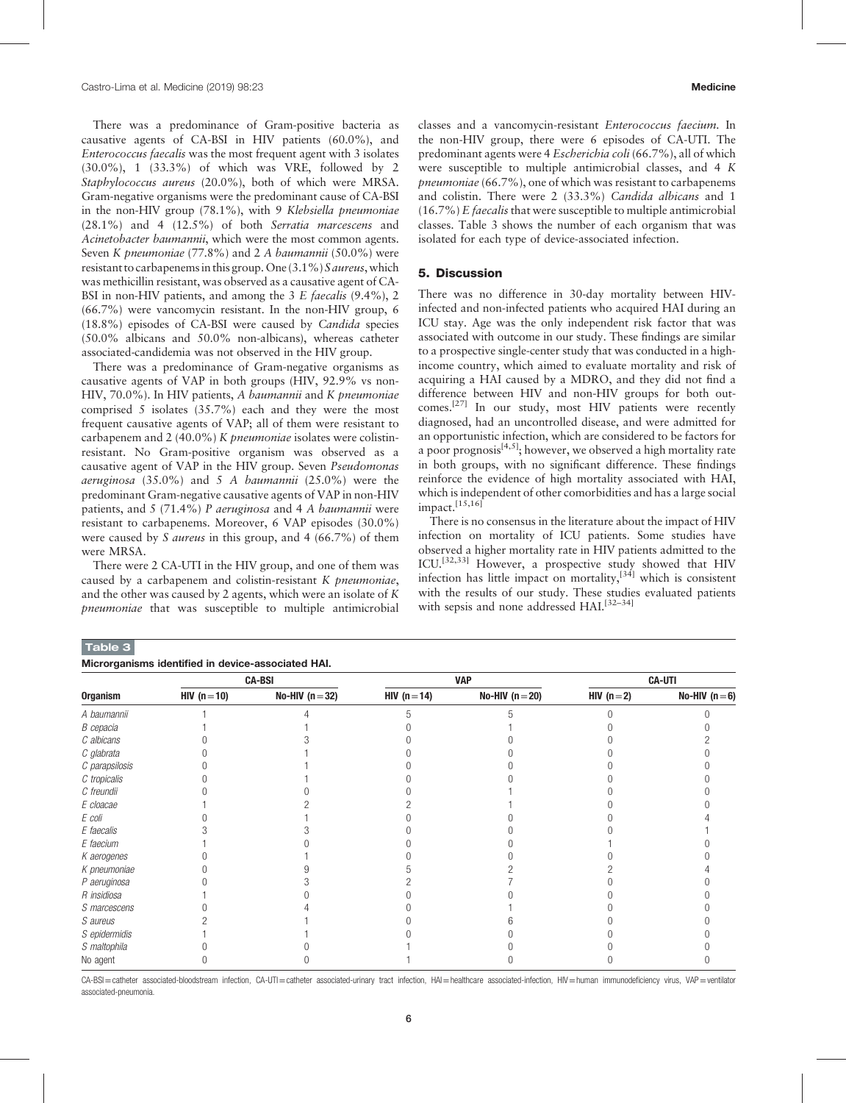There was a predominance of Gram-positive bacteria as causative agents of CA-BSI in HIV patients (60.0%), and Enterococcus faecalis was the most frequent agent with 3 isolates (30.0%), 1 (33.3%) of which was VRE, followed by 2 Staphylococcus aureus (20.0%), both of which were MRSA. Gram-negative organisms were the predominant cause of CA-BSI in the non-HIV group (78.1%), with 9 Klebsiella pneumoniae (28.1%) and 4 (12.5%) of both Serratia marcescens and Acinetobacter baumannii, which were the most common agents. Seven K pneumoniae (77.8%) and 2 A baumannii (50.0%) were resistant to carbapenems in this group. One (3.1%) S aureus, which was methicillin resistant, was observed as a causative agent of CA-BSI in non-HIV patients, and among the  $3 \mathcal{E}$  faecalis (9.4%), 2 (66.7%) were vancomycin resistant. In the non-HIV group, 6 (18.8%) episodes of CA-BSI were caused by Candida species (50.0% albicans and 50.0% non-albicans), whereas catheter associated-candidemia was not observed in the HIV group.

There was a predominance of Gram-negative organisms as causative agents of VAP in both groups (HIV, 92.9% vs non-HIV, 70.0%). In HIV patients, A baumannii and K pneumoniae comprised 5 isolates (35.7%) each and they were the most frequent causative agents of VAP; all of them were resistant to carbapenem and 2 (40.0%) K pneumoniae isolates were colistinresistant. No Gram-positive organism was observed as a causative agent of VAP in the HIV group. Seven Pseudomonas *aeruginosa* (35.0%) and 5 A *baumannii* (25.0%) were the predominant Gram-negative causative agents of VAP in non-HIV patients, and 5 (71.4%) P aeruginosa and 4 A baumannii were resistant to carbapenems. Moreover, 6 VAP episodes (30.0%) were caused by S *aureus* in this group, and 4 (66.7%) of them were MRSA.

There were 2 CA-UTI in the HIV group, and one of them was caused by a carbapenem and colistin-resistant K pneumoniae, and the other was caused by 2 agents, which were an isolate of K pneumoniae that was susceptible to multiple antimicrobial

Table 3

classes and a vancomycin-resistant Enterococcus faecium. In the non-HIV group, there were 6 episodes of CA-UTI. The predominant agents were 4 Escherichia coli (66.7%), all of which were susceptible to multiple antimicrobial classes, and 4 K pneumoniae (66.7%), one of which was resistant to carbapenems and colistin. There were 2 (33.3%) Candida albicans and 1  $(16.7\%)$  E *faecalis* that were susceptible to multiple antimicrobial classes. Table 3 shows the number of each organism that was isolated for each type of device-associated infection.

#### 5. Discussion

There was no difference in 30-day mortality between HIVinfected and non-infected patients who acquired HAI during an ICU stay. Age was the only independent risk factor that was associated with outcome in our study. These findings are similar to a prospective single-center study that was conducted in a highincome country, which aimed to evaluate mortality and risk of acquiring a HAI caused by a MDRO, and they did not find a difference between HIV and non-HIV groups for both outcomes.[\[27\]](#page-7-0) In our study, most HIV patients were recently diagnosed, had an uncontrolled disease, and were admitted for an opportunistic infection, which are considered to be factors for a poor prognosis<sup>[4,5]</sup>; however, we observed a high mortality rate in both groups, with no significant difference. These findings reinforce the evidence of high mortality associated with HAI, which is independent of other comorbidities and has a large social impact.[15,16]

There is no consensus in the literature about the impact of HIV infection on mortality of ICU patients. Some studies have observed a higher mortality rate in HIV patients admitted to the ICU.<sup>[32,33]</sup> However, a prospective study showed that HIV infection has little impact on mortality, $[34]$  which is consistent with the results of our study. These studies evaluated patients with sepsis and none addressed HAI.<sup>[32–34]</sup>

| Microrganisms identified in device-associated HAI. |               |                 |              |                 |               |                |
|----------------------------------------------------|---------------|-----------------|--------------|-----------------|---------------|----------------|
|                                                    | <b>CA-BSI</b> |                 | <b>VAP</b>   |                 | <b>CA-UTI</b> |                |
| <b>Organism</b>                                    | $HIV (n=10)$  | No-HIV $(n=32)$ | HIV $(n=14)$ | No-HIV $(n=20)$ | HIV $(n=2)$   | No-HIV $(n=6)$ |
| A baumannii                                        |               |                 |              |                 |               |                |
| B cepacia                                          |               |                 |              |                 |               |                |
| C albicans                                         |               |                 |              |                 |               |                |
| C glabrata                                         |               |                 |              |                 |               |                |
| C parapsilosis                                     |               |                 |              |                 |               |                |
| C tropicalis                                       |               |                 |              |                 |               |                |
| C freundii                                         |               |                 |              |                 |               |                |
| E cloacae                                          |               |                 |              |                 |               |                |
| E coli                                             |               |                 |              |                 |               |                |
| E faecalis                                         |               |                 |              |                 |               |                |
| E faecium                                          |               |                 |              |                 |               |                |
| K aerogenes                                        |               |                 |              |                 |               |                |
| K pneumoniae                                       |               |                 |              |                 |               |                |
| P aeruginosa                                       |               |                 |              |                 |               |                |
| R insidiosa                                        |               |                 |              |                 |               |                |
| S marcescens                                       |               |                 |              |                 |               |                |
| S aureus                                           |               |                 |              |                 |               |                |
| S epidermidis                                      |               |                 |              |                 |               |                |
| S maltophila                                       |               |                 |              |                 |               |                |
| No agent                                           |               |                 |              |                 |               |                |

CA-BSI=catheter associated-bloodstream infection, CA-UTI=catheter associated-urinary tract infection, HAI=healthcare associated-infection, HIV=human immunodeficiency virus, VAP=ventilator associated-pneumonia.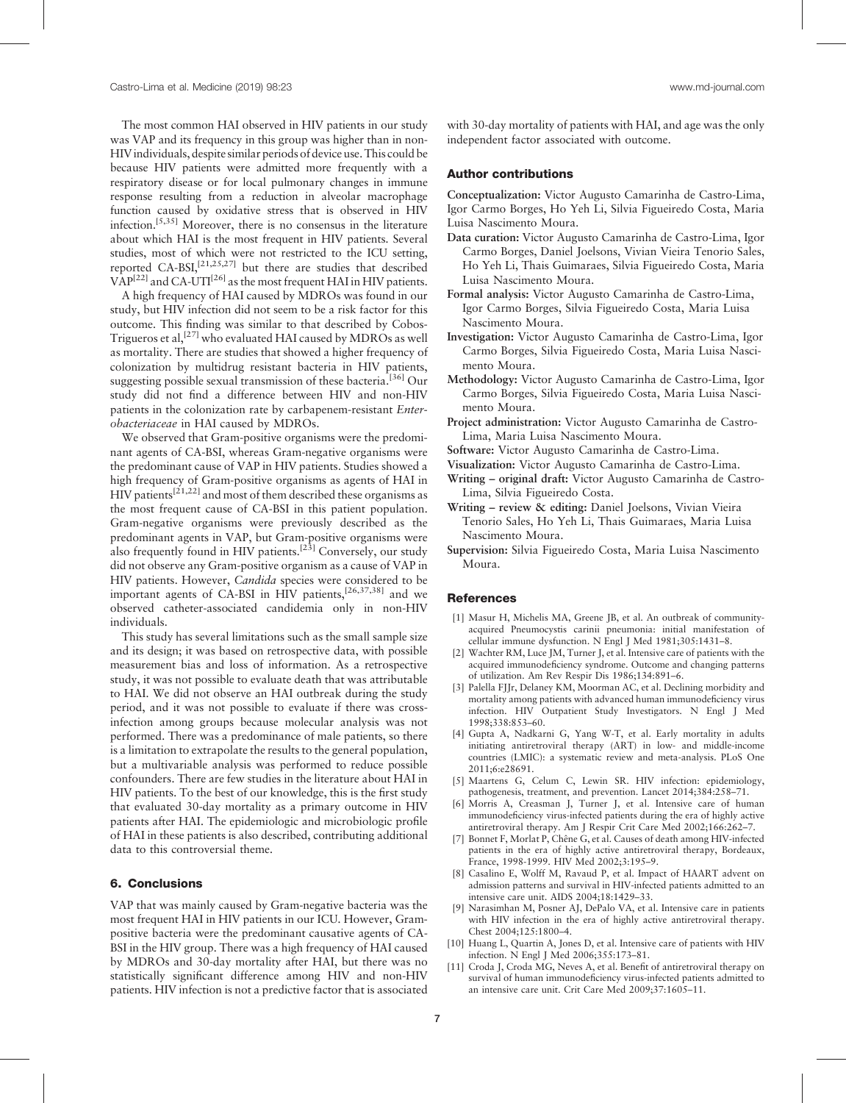The most common HAI observed in HIV patients in our study was VAP and its frequency in this group was higher than in non-HIVindividuals, despite similar periods of device use. This could be because HIV patients were admitted more frequently with a respiratory disease or for local pulmonary changes in immune response resulting from a reduction in alveolar macrophage function caused by oxidative stress that is observed in HIV infection.[5,35] Moreover, there is no consensus in the literature about which HAI is the most frequent in HIV patients. Several studies, most of which were not restricted to the ICU setting, reported CA-BSI,<sup>[21,25,27]</sup> but there are studies that described  $VAP^{[22]}$  $VAP^{[22]}$  $VAP^{[22]}$  and CA-UTI<sup>[\[26\]](#page-7-0)</sup> as the most frequent HAI in HIV patients.

A high frequency of HAI caused by MDROs was found in our study, but HIV infection did not seem to be a risk factor for this outcome. This finding was similar to that described by Cobos-Trigueros et al,<sup>[\[27\]](#page-7-0)</sup> who evaluated HAI caused by MDROs as well as mortality. There are studies that showed a higher frequency of colonization by multidrug resistant bacteria in HIV patients, suggesting possible sexual transmission of these bacteria.<sup>[\[36\]](#page-7-0)</sup> Our study did not find a difference between HIV and non-HIV patients in the colonization rate by carbapenem-resistant Enterobacteriaceae in HAI caused by MDROs.

We observed that Gram-positive organisms were the predominant agents of CA-BSI, whereas Gram-negative organisms were the predominant cause of VAP in HIV patients. Studies showed a high frequency of Gram-positive organisms as agents of HAI in  $HIV$  patients<sup>[21,22]</sup> and most of them described these organisms as the most frequent cause of CA-BSI in this patient population. Gram-negative organisms were previously described as the predominant agents in VAP, but Gram-positive organisms were also frequently found in HIV patients.<sup>[\[23\]](#page-7-0)</sup> Conversely, our study did not observe any Gram-positive organism as a cause of VAP in HIV patients. However, Candida species were considered to be important agents of CA-BSI in HIV patients,[26,37,38] and we observed catheter-associated candidemia only in non-HIV individuals.

This study has several limitations such as the small sample size and its design; it was based on retrospective data, with possible measurement bias and loss of information. As a retrospective study, it was not possible to evaluate death that was attributable to HAI. We did not observe an HAI outbreak during the study period, and it was not possible to evaluate if there was crossinfection among groups because molecular analysis was not performed. There was a predominance of male patients, so there is a limitation to extrapolate the results to the general population, but a multivariable analysis was performed to reduce possible confounders. There are few studies in the literature about HAI in HIV patients. To the best of our knowledge, this is the first study that evaluated 30-day mortality as a primary outcome in HIV patients after HAI. The epidemiologic and microbiologic profile of HAI in these patients is also described, contributing additional data to this controversial theme.

#### 6. Conclusions

VAP that was mainly caused by Gram-negative bacteria was the most frequent HAI in HIV patients in our ICU. However, Grampositive bacteria were the predominant causative agents of CA-BSI in the HIV group. There was a high frequency of HAI caused by MDROs and 30-day mortality after HAI, but there was no statistically significant difference among HIV and non-HIV patients. HIV infection is not a predictive factor that is associated

with 30-day mortality of patients with HAI, and age was the only independent factor associated with outcome.

### Author contributions

Conceptualization: Victor Augusto Camarinha de Castro-Lima, Igor Carmo Borges, Ho Yeh Li, Silvia Figueiredo Costa, Maria Luisa Nascimento Moura.

- Data curation: Victor Augusto Camarinha de Castro-Lima, Igor Carmo Borges, Daniel Joelsons, Vivian Vieira Tenorio Sales, Ho Yeh Li, Thais Guimaraes, Silvia Figueiredo Costa, Maria Luisa Nascimento Moura.
- Formal analysis: Victor Augusto Camarinha de Castro-Lima, Igor Carmo Borges, Silvia Figueiredo Costa, Maria Luisa Nascimento Moura.
- Investigation: Victor Augusto Camarinha de Castro-Lima, Igor Carmo Borges, Silvia Figueiredo Costa, Maria Luisa Nascimento Moura.
- Methodology: Victor Augusto Camarinha de Castro-Lima, Igor Carmo Borges, Silvia Figueiredo Costa, Maria Luisa Nascimento Moura.
- Project administration: Victor Augusto Camarinha de Castro-Lima, Maria Luisa Nascimento Moura.
- Software: Victor Augusto Camarinha de Castro-Lima.
- Visualization: Victor Augusto Camarinha de Castro-Lima.
- Writing original draft: Victor Augusto Camarinha de Castro-Lima, Silvia Figueiredo Costa.
- Writing review & editing: Daniel Joelsons, Vivian Vieira Tenorio Sales, Ho Yeh Li, Thais Guimaraes, Maria Luisa Nascimento Moura.
- Supervision: Silvia Figueiredo Costa, Maria Luisa Nascimento Moura.

#### **References**

- [1] Masur H, Michelis MA, Greene JB, et al. An outbreak of communityacquired Pneumocystis carinii pneumonia: initial manifestation of cellular immune dysfunction. N Engl J Med 1981;305:1431–8.
- Wachter RM, Luce JM, Turner J, et al. Intensive care of patients with the acquired immunodeficiency syndrome. Outcome and changing patterns of utilization. Am Rev Respir Dis 1986;134:891–6.
- [3] Palella FJJr, Delaney KM, Moorman AC, et al. Declining morbidity and mortality among patients with advanced human immunodeficiency virus infection. HIV Outpatient Study Investigators. N Engl J Med 1998;338:853–60.
- [4] Gupta A, Nadkarni G, Yang W-T, et al. Early mortality in adults initiating antiretroviral therapy (ART) in low- and middle-income countries (LMIC): a systematic review and meta-analysis. PLoS One 2011;6:e28691.
- [5] Maartens G, Celum C, Lewin SR. HIV infection: epidemiology, pathogenesis, treatment, and prevention. Lancet 2014;384:258–71.
- [6] Morris A, Creasman J, Turner J, et al. Intensive care of human immunodeficiency virus-infected patients during the era of highly active antiretroviral therapy. Am J Respir Crit Care Med 2002;166:262–7.
- [7] Bonnet F, Morlat P, Chêne G, et al. Causes of death among HIV-infected patients in the era of highly active antiretroviral therapy, Bordeaux, France, 1998-1999. HIV Med 2002;3:195–9.
- [8] Casalino E, Wolff M, Ravaud P, et al. Impact of HAART advent on admission patterns and survival in HIV-infected patients admitted to an intensive care unit. AIDS 2004;18:1429–33.
- [9] Narasimhan M, Posner AJ, DePalo VA, et al. Intensive care in patients with HIV infection in the era of highly active antiretroviral therapy. Chest 2004;125:1800–4.
- [10] Huang L, Quartin A, Jones D, et al. Intensive care of patients with HIV infection. N Engl J Med 2006;355:173–81.
- [11] Croda J, Croda MG, Neves A, et al. Benefit of antiretroviral therapy on survival of human immunodeficiency virus-infected patients admitted to an intensive care unit. Crit Care Med 2009;37:1605–11.